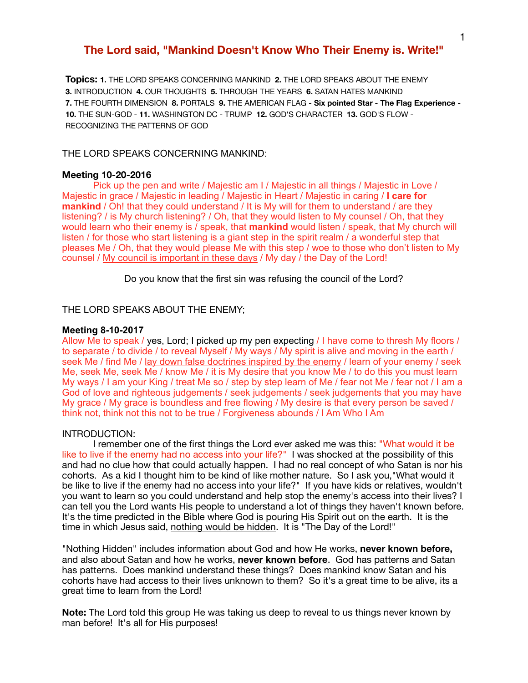# **The Lord said, "Mankind Doesn't Know Who Their Enemy is. Write!"**

**Topics: 1.** THE LORD SPEAKS CONCERNING MANKIND **2.** THE LORD SPEAKS ABOUT THE ENEMY **3.** INTRODUCTION **4.** OUR THOUGHTS **5.** THROUGH THE YEARS **6.** SATAN HATES MANKIND **7.** THE FOURTH DIMENSION **8.** PORTALS **9.** THE AMERICAN FLAG **- Six pointed Star - The Flag Experience - 10.** THE SUN-GOD - **11.** WASHINGTON DC - TRUMP **12.** GOD'S CHARACTER **13.** GOD'S FLOW - RECOGNIZING THE PATTERNS OF GOD

## THE LORD SPEAKS CONCERNING MANKIND:

## **Meeting 10-20-2016**

Pick up the pen and write / Majestic am I / Majestic in all things / Majestic in Love / Majestic in grace / Majestic in leading / Majestic in Heart / Majestic in caring / **I care for mankind** / Oh! that they could understand / It is My will for them to understand / are they listening? / is My church listening? / Oh, that they would listen to My counsel / Oh, that they would learn who their enemy is / speak, that **mankind** would listen / speak, that My church will listen / for those who start listening is a giant step in the spirit realm / a wonderful step that pleases Me / Oh, that they would please Me with this step / woe to those who don't listen to My counsel / My council is important in these days / My day / the Day of the Lord!

Do you know that the first sin was refusing the council of the Lord?

THE LORD SPEAKS ABOUT THE ENEMY;

#### **Meeting 8-10-2017**

Allow Me to speak / yes, Lord; I picked up my pen expecting / I have come to thresh My floors / to separate / to divide / to reveal Myself / My ways / My spirit is alive and moving in the earth / seek Me / find Me / lay down false doctrines inspired by the enemy / learn of your enemy / seek Me, seek Me, seek Me / know Me / it is My desire that you know Me / to do this you must learn My ways / I am your King / treat Me so / step by step learn of Me / fear not Me / fear not / I am a God of love and righteous judgements / seek judgements / seek judgements that you may have My grace / My grace is boundless and free flowing / My desire is that every person be saved / think not, think not this not to be true / Forgiveness abounds / I Am Who I Am

#### INTRODUCTION:

I remember one of the first things the Lord ever asked me was this: "What would it be like to live if the enemy had no access into your life?" I was shocked at the possibility of this and had no clue how that could actually happen. I had no real concept of who Satan is nor his cohorts. As a kid I thought him to be kind of like mother nature. So I ask you,"What would it be like to live if the enemy had no access into your life?" If you have kids or relatives, wouldn't you want to learn so you could understand and help stop the enemy's access into their lives? I can tell you the Lord wants His people to understand a lot of things they haven't known before. It's the time predicted in the Bible where God is pouring His Spirit out on the earth. It is the time in which Jesus said, nothing would be hidden. It is "The Day of the Lord!"

"Nothing Hidden" includes information about God and how He works, **never known before,** and also about Satan and how he works, **never known before**. God has patterns and Satan has patterns. Does mankind understand these things? Does mankind know Satan and his cohorts have had access to their lives unknown to them? So it's a great time to be alive, its a great time to learn from the Lord!

**Note:** The Lord told this group He was taking us deep to reveal to us things never known by man before! It's all for His purposes!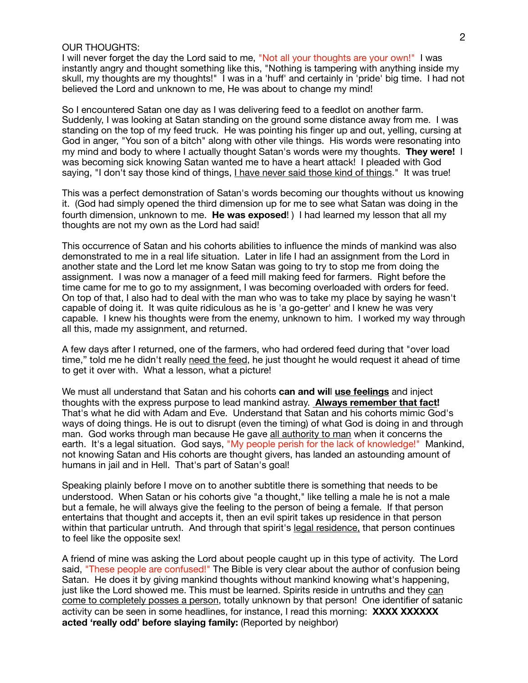## OUR THOUGHTS:

I will never forget the day the Lord said to me, "Not all your thoughts are your own!" I was instantly angry and thought something like this, "Nothing is tampering with anything inside my skull, my thoughts are my thoughts!" I was in a 'huff' and certainly in 'pride' big time. I had not believed the Lord and unknown to me, He was about to change my mind!

So I encountered Satan one day as I was delivering feed to a feedlot on another farm. Suddenly, I was looking at Satan standing on the ground some distance away from me. I was standing on the top of my feed truck. He was pointing his finger up and out, yelling, cursing at God in anger, "You son of a bitch" along with other vile things. His words were resonating into my mind and body to where I actually thought Satan's words were my thoughts. **They were!** I was becoming sick knowing Satan wanted me to have a heart attack! I pleaded with God saying, "I don't say those kind of things, I have never said those kind of things." It was true!

This was a perfect demonstration of Satan's words becoming our thoughts without us knowing it. (God had simply opened the third dimension up for me to see what Satan was doing in the fourth dimension, unknown to me. **He was exposed**! ) I had learned my lesson that all my thoughts are not my own as the Lord had said!

This occurrence of Satan and his cohorts abilities to influence the minds of mankind was also demonstrated to me in a real life situation. Later in life I had an assignment from the Lord in another state and the Lord let me know Satan was going to try to stop me from doing the assignment. I was now a manager of a feed mill making feed for farmers. Right before the time came for me to go to my assignment, I was becoming overloaded with orders for feed. On top of that, I also had to deal with the man who was to take my place by saying he wasn't capable of doing it. It was quite ridiculous as he is 'a go-getter' and I knew he was very capable. I knew his thoughts were from the enemy, unknown to him. I worked my way through all this, made my assignment, and returned.

A few days after I returned, one of the farmers, who had ordered feed during that "over load time," told me he didn't really need the feed, he just thought he would request it ahead of time to get it over with. What a lesson, what a picture!

We must all understand that Satan and his cohorts **can and wil**l **use feelings** and inject thoughts with the express purpose to lead mankind astray. **Always remember that fact!**  That's what he did with Adam and Eve. Understand that Satan and his cohorts mimic God's ways of doing things. He is out to disrupt (even the timing) of what God is doing in and through man. God works through man because He gave all authority to man when it concerns the earth. It's a legal situation. God says, "My people perish for the lack of knowledge!" Mankind, not knowing Satan and His cohorts are thought givers, has landed an astounding amount of humans in jail and in Hell. That's part of Satan's goal!

Speaking plainly before I move on to another subtitle there is something that needs to be understood. When Satan or his cohorts give "a thought," like telling a male he is not a male but a female, he will always give the feeling to the person of being a female. If that person entertains that thought and accepts it, then an evil spirit takes up residence in that person within that particular untruth. And through that spirit's legal residence, that person continues to feel like the opposite sex!

A friend of mine was asking the Lord about people caught up in this type of activity. The Lord said, "These people are confused!" The Bible is very clear about the author of confusion being Satan. He does it by giving mankind thoughts without mankind knowing what's happening, just like the Lord showed me. This must be learned. Spirits reside in untruths and they can come to completely posses a person, totally unknown by that person! One identifier of satanic activity can be seen in some headlines, for instance, I read this morning: **XXXX XXXXXX acted 'really odd' before slaying family:** (Reported by neighbor)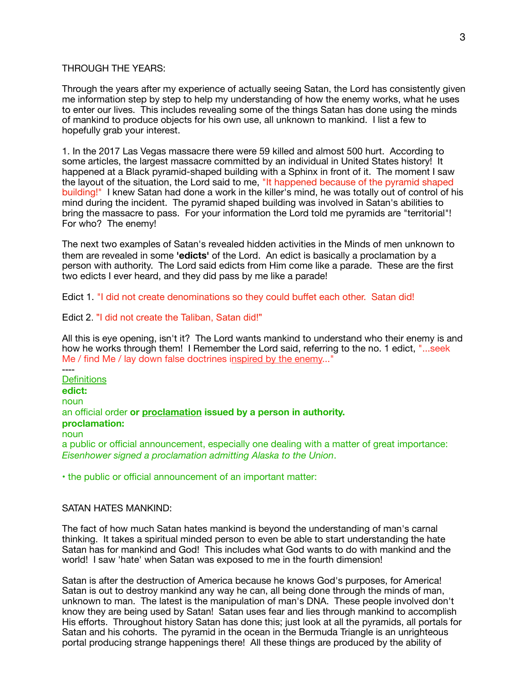### THROUGH THE YEARS:

Through the years after my experience of actually seeing Satan, the Lord has consistently given me information step by step to help my understanding of how the enemy works, what he uses to enter our lives. This includes revealing some of the things Satan has done using the minds of mankind to produce objects for his own use, all unknown to mankind. I list a few to hopefully grab your interest.

1. In the 2017 Las Vegas massacre there were 59 killed and almost 500 hurt. According to some articles, the largest massacre committed by an individual in United States history! It happened at a Black pyramid-shaped building with a Sphinx in front of it. The moment I saw the layout of the situation, the Lord said to me, "It happened because of the pyramid shaped building!" I knew Satan had done a work in the killer's mind, he was totally out of control of his mind during the incident. The pyramid shaped building was involved in Satan's abilities to bring the massacre to pass. For your information the Lord told me pyramids are "territorial"! For who? The enemy!

The next two examples of Satan's revealed hidden activities in the Minds of men unknown to them are revealed in some **'edicts'** of the Lord. An edict is basically a proclamation by a person with authority. The Lord said edicts from Him come like a parade. These are the first two edicts I ever heard, and they did pass by me like a parade!

Edict 1. "I did not create denominations so they could buffet each other. Satan did!

Edict 2. "I did not create the Taliban, Satan did!"

All this is eye opening, isn't it? The Lord wants mankind to understand who their enemy is and how he works through them! I Remember the Lord said, referring to the no. 1 edict, "...seek Me / find Me / lay down false doctrines inspired by the enemy..."

---- **Definitions edict:** noun an official order **or proclamation issued by a person in authority. proclamation:** noun a public or official announcement, especially one dealing with a matter of great importance: *Eisenhower signed a proclamation admitting Alaska to the Union*.

**•** the public or official announcement of an important matter:

### SATAN HATES MANKIND:

The fact of how much Satan hates mankind is beyond the understanding of man's carnal thinking. It takes a spiritual minded person to even be able to start understanding the hate Satan has for mankind and God! This includes what God wants to do with mankind and the world! I saw 'hate' when Satan was exposed to me in the fourth dimension!

Satan is after the destruction of America because he knows God's purposes, for America! Satan is out to destroy mankind any way he can, all being done through the minds of man, unknown to man. The latest is the manipulation of man's DNA. These people involved don't know they are being used by Satan! Satan uses fear and lies through mankind to accomplish His efforts. Throughout history Satan has done this; just look at all the pyramids, all portals for Satan and his cohorts. The pyramid in the ocean in the Bermuda Triangle is an unrighteous portal producing strange happenings there! All these things are produced by the ability of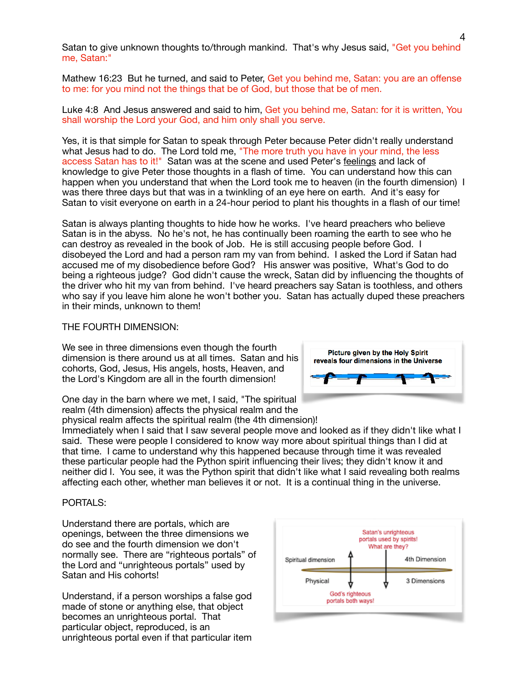Satan to give unknown thoughts to/through mankind. That's why Jesus said, "Get you behind me, Satan:"

Mathew 16:23 But he turned, and said to Peter, Get you behind me, Satan: you are an offense to me: for you mind not the things that be of God, but those that be of men.

Luke 4:8 And Jesus answered and said to him, Get you behind me, Satan: for it is written, You shall worship the Lord your God, and him only shall you serve.

Yes, it is that simple for Satan to speak through Peter because Peter didn't really understand what Jesus had to do. The Lord told me, "The more truth you have in your mind, the less access Satan has to it!" Satan was at the scene and used Peter's feelings and lack of knowledge to give Peter those thoughts in a flash of time. You can understand how this can happen when you understand that when the Lord took me to heaven (in the fourth dimension) I was there three days but that was in a twinkling of an eye here on earth. And it's easy for Satan to visit everyone on earth in a 24-hour period to plant his thoughts in a flash of our time!

Satan is always planting thoughts to hide how he works. I've heard preachers who believe Satan is in the abyss. No he's not, he has continually been roaming the earth to see who he can destroy as revealed in the book of Job. He is still accusing people before God. I disobeyed the Lord and had a person ram my van from behind. I asked the Lord if Satan had accused me of my disobedience before God? His answer was positive, What's God to do being a righteous judge? God didn't cause the wreck, Satan did by influencing the thoughts of the driver who hit my van from behind. I've heard preachers say Satan is toothless, and others who say if you leave him alone he won't bother you. Satan has actually duped these preachers in their minds, unknown to them!

## THE FOURTH DIMENSION:

We see in three dimensions even though the fourth dimension is there around us at all times. Satan and his cohorts, God, Jesus, His angels, hosts, Heaven, and the Lord's Kingdom are all in the fourth dimension!

Picture given by the Holy Spirit reveals four dimensions in the Universe

One day in the barn where we met, I said, "The spiritual realm (4th dimension) affects the physical realm and the physical realm affects the spiritual realm (the 4th dimension)!

Immediately when I said that I saw several people move and looked as if they didn't like what I said. These were people I considered to know way more about spiritual things than I did at that time. I came to understand why this happened because through time it was revealed these particular people had the Python spirit influencing their lives; they didn't know it and neither did I. You see, it was the Python spirit that didn't like what I said revealing both realms affecting each other, whether man believes it or not. It is a continual thing in the universe.

## PORTALS:

Understand there are portals, which are openings, between the three dimensions we do see and the fourth dimension we don't normally see. There are "righteous portals" of the Lord and "unrighteous portals" used by Satan and His cohorts!

Understand, if a person worships a false god made of stone or anything else, that object becomes an unrighteous portal. That particular object, reproduced, is an unrighteous portal even if that particular item

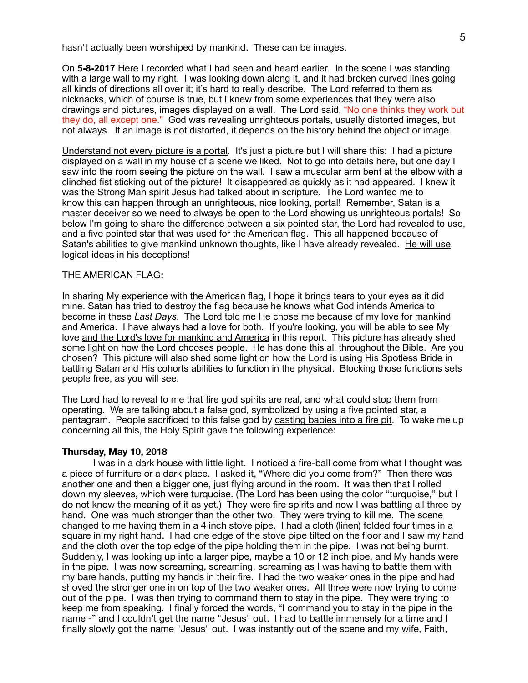hasn't actually been worshiped by mankind. These can be images.

On **5-8-2017** Here I recorded what I had seen and heard earlier. In the scene I was standing with a large wall to my right. I was looking down along it, and it had broken curved lines going all kinds of directions all over it; it's hard to really describe. The Lord referred to them as nicknacks, which of course is true, but I knew from some experiences that they were also drawings and pictures, images displayed on a wall. The Lord said, "No one thinks they work but they do, all except one." God was revealing unrighteous portals, usually distorted images, but not always. If an image is not distorted, it depends on the history behind the object or image.

Understand not every picture is a portal. It's just a picture but I will share this: I had a picture displayed on a wall in my house of a scene we liked. Not to go into details here, but one day I saw into the room seeing the picture on the wall. I saw a muscular arm bent at the elbow with a clinched fist sticking out of the picture! It disappeared as quickly as it had appeared. I knew it was the Strong Man spirit Jesus had talked about in scripture. The Lord wanted me to know this can happen through an unrighteous, nice looking, portal! Remember, Satan is a master deceiver so we need to always be open to the Lord showing us unrighteous portals! So below I'm going to share the difference between a six pointed star, the Lord had revealed to use, and a five pointed star that was used for the American flag. This all happened because of Satan's abilities to give mankind unknown thoughts, like I have already revealed. He will use logical ideas in his deceptions!

### THE AMERICAN FLAG**:**

In sharing My experience with the American flag, I hope it brings tears to your eyes as it did mine. Satan has tried to destroy the flag because he knows what God intends America to become in these *Last Days*. The Lord told me He chose me because of my love for mankind and America. I have always had a love for both. If you're looking, you will be able to see My love and the Lord's love for mankind and America in this report. This picture has already shed some light on how the Lord chooses people. He has done this all throughout the Bible. Are you chosen? This picture will also shed some light on how the Lord is using His Spotless Bride in battling Satan and His cohorts abilities to function in the physical. Blocking those functions sets people free, as you will see.

The Lord had to reveal to me that fire god spirits are real, and what could stop them from operating. We are talking about a false god, symbolized by using a five pointed star, a pentagram. People sacrificed to this false god by casting babies into a fire pit. To wake me up concerning all this, the Holy Spirit gave the following experience:

#### **Thursday, May 10, 2018**

I was in a dark house with little light. I noticed a fire-ball come from what I thought was a piece of furniture or a dark place. I asked it, "Where did you come from?" Then there was another one and then a bigger one, just flying around in the room. It was then that I rolled down my sleeves, which were turquoise. (The Lord has been using the color "turquoise," but I do not know the meaning of it as yet.) They were fire spirits and now I was battling all three by hand. One was much stronger than the other two. They were trying to kill me. The scene changed to me having them in a 4 inch stove pipe. I had a cloth (linen) folded four times in a square in my right hand. I had one edge of the stove pipe tilted on the floor and I saw my hand and the cloth over the top edge of the pipe holding them in the pipe. I was not being burnt. Suddenly, I was looking up into a larger pipe, maybe a 10 or 12 inch pipe, and My hands were in the pipe. I was now screaming, screaming, screaming as I was having to battle them with my bare hands, putting my hands in their fire. I had the two weaker ones in the pipe and had shoved the stronger one in on top of the two weaker ones. All three were now trying to come out of the pipe. I was then trying to command them to stay in the pipe. They were trying to keep me from speaking. I finally forced the words, "I command you to stay in the pipe in the name -" and I couldn't get the name "Jesus" out. I had to battle immensely for a time and I finally slowly got the name "Jesus" out. I was instantly out of the scene and my wife, Faith,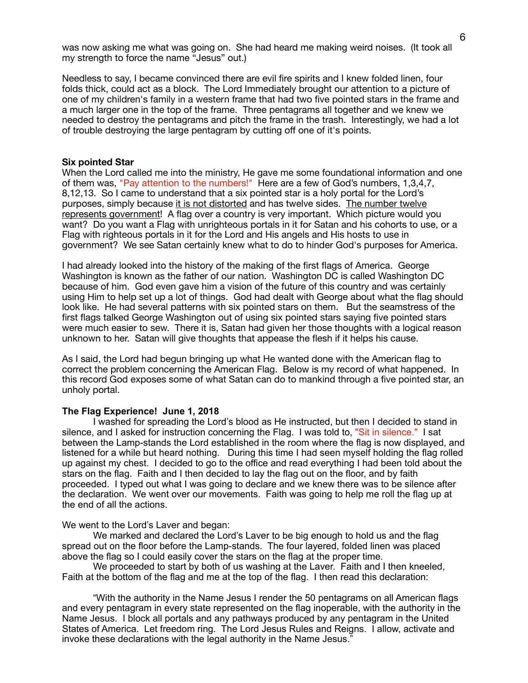was now asking me what was going on. She had heard me making weird noises. (It took all my strength to force the name "Jesus" out.)

Needless to say, I became convinced there are evil fire spirits and I knew folded linen, four folds thick, could act as a block. The Lord Immediately brought our attention to a picture of one of my children's family in a western frame that had two five pointed stars in the frame and a much larger one in the top of the frame. Three pentagrams all together and we knew we needed to destroy the pentagrams and pitch the frame in the trash. Interestingly, we had a lot of trouble destroying the large pentagram by cutting off one of it's points.

### **Six pointed Star**

When the Lord called me into the ministry, He gave me some foundational information and one of them was, "Pay attention to the numbers!" Here are a few of God's numbers, 1,3,4,7, 8,12,13. So I came to understand that a six pointed star is a holy portal for the Lord's purposes, simply because it is not distorted and has twelve sides. The number twelve represents government! A flag over a country is very important. Which picture would you want? Do you want a Flag with unrighteous portals in it for Satan and his cohorts to use, or a Flag with righteous portals in it for the Lord and His angels and His hosts to use in government? We see Satan certainly knew what to do to hinder God's purposes for America.

I had already looked into the history of the making of the first flags of America. George Washington is known as the father of our nation. Washington DC is called Washington DC because of him. God even gave him a vision of the future of this country and was certainly using Him to help set up a lot of things. God had dealt with George about what the flag should look like. He had several patterns with six pointed stars on them. But the seamstress of the first flags talked George Washington out of using six pointed stars saying five pointed stars were much easier to sew. There it is, Satan had given her those thoughts with a logical reason unknown to her. Satan will give thoughts that appease the flesh if it helps his cause.

As I said, the Lord had begun bringing up what He wanted done with the American flag to correct the problem concerning the American Flag. Below is my record of what happened. In this record God exposes some of what Satan can do to mankind through a five pointed star, an unholy portal.

### **The Flag Experience! June 1, 2018**

 I washed for spreading the Lord's blood as He instructed, but then I decided to stand in silence, and I asked for instruction concerning the Flag. I was told to, "Sit in silence." I sat between the Lamp-stands the Lord established in the room where the flag is now displayed, and listened for a while but heard nothing. During this time I had seen myself holding the flag rolled up against my chest. I decided to go to the office and read everything I had been told about the stars on the flag. Faith and I then decided to lay the flag out on the floor, and by faith proceeded. I typed out what I was going to declare and we knew there was to be silence after the declaration. We went over our movements. Faith was going to help me roll the flag up at the end of all the actions.

We went to the Lord's Laver and began:

 We marked and declared the Lord's Laver to be big enough to hold us and the flag spread out on the floor before the Lamp-stands. The four layered, folded linen was placed above the flag so I could easily cover the stars on the flag at the proper time.

We proceeded to start by both of us washing at the Laver. Faith and I then kneeled, Faith at the bottom of the flag and me at the top of the flag. I then read this declaration:

 "With the authority in the Name Jesus I render the 50 pentagrams on all American flags and every pentagram in every state represented on the flag inoperable, with the authority in the Name Jesus. I block all portals and any pathways produced by any pentagram in the United States of America. Let freedom ring. The Lord Jesus Rules and Reigns. I allow, activate and invoke these declarations with the legal authority in the Name Jesus."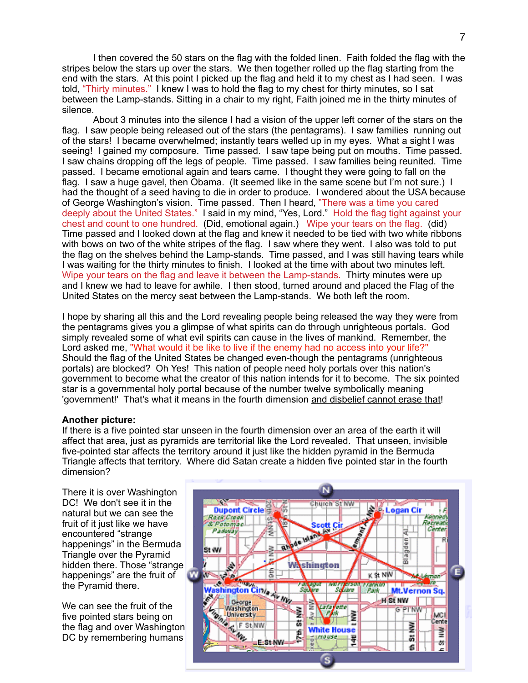I then covered the 50 stars on the flag with the folded linen. Faith folded the flag with the stripes below the stars up over the stars. We then together rolled up the flag starting from the end with the stars. At this point I picked up the flag and held it to my chest as I had seen. I was told, "Thirty minutes." I knew I was to hold the flag to my chest for thirty minutes, so I sat between the Lamp-stands. Sitting in a chair to my right, Faith joined me in the thirty minutes of silence.

 About 3 minutes into the silence I had a vision of the upper left corner of the stars on the flag. I saw people being released out of the stars (the pentagrams). I saw families running out of the stars! I became overwhelmed; instantly tears welled up in my eyes. What a sight I was seeing! I gained my composure. Time passed. I saw tape being put on mouths. Time passed. I saw chains dropping off the legs of people. Time passed. I saw families being reunited. Time passed. I became emotional again and tears came. I thought they were going to fall on the flag. I saw a huge gavel, then Obama. (It seemed like in the same scene but I'm not sure.) I had the thought of a seed having to die in order to produce. I wondered about the USA because of George Washington's vision. Time passed. Then I heard, "There was a time you cared deeply about the United States." I said in my mind, "Yes, Lord." Hold the flag tight against your chest and count to one hundred. (Did, emotional again.) Wipe your tears on the flag. (did) Time passed and I looked down at the flag and knew it needed to be tied with two white ribbons with bows on two of the white stripes of the flag. I saw where they went. I also was told to put the flag on the shelves behind the Lamp-stands. Time passed, and I was still having tears while I was waiting for the thirty minutes to finish. I looked at the time with about two minutes left. Wipe your tears on the flag and leave it between the Lamp-stands. Thirty minutes were up and I knew we had to leave for awhile. I then stood, turned around and placed the Flag of the United States on the mercy seat between the Lamp-stands. We both left the room.

I hope by sharing all this and the Lord revealing people being released the way they were from the pentagrams gives you a glimpse of what spirits can do through unrighteous portals. God simply revealed some of what evil spirits can cause in the lives of mankind. Remember, the Lord asked me, "What would it be like to live if the enemy had no access into your life?" Should the flag of the United States be changed even-though the pentagrams (unrighteous portals) are blocked? Oh Yes! This nation of people need holy portals over this nation's government to become what the creator of this nation intends for it to become. The six pointed star is a governmental holy portal because of the number twelve symbolically meaning 'government!' That's what it means in the fourth dimension and disbelief cannot erase that!

### **Another picture:**

If there is a five pointed star unseen in the fourth dimension over an area of the earth it will affect that area, just as pyramids are territorial like the Lord revealed. That unseen, invisible five-pointed star affects the territory around it just like the hidden pyramid in the Bermuda Triangle affects that territory. Where did Satan create a hidden five pointed star in the fourth dimension?

There it is over Washington DC! We don't see it in the natural but we can see the fruit of it just like we have encountered "strange happenings" in the Bermuda Triangle over the Pyramid hidden there. Those "strange happenings" are the fruit of the Pyramid there.

We can see the fruit of the five pointed stars being on the flag and over Washington DC by remembering humans

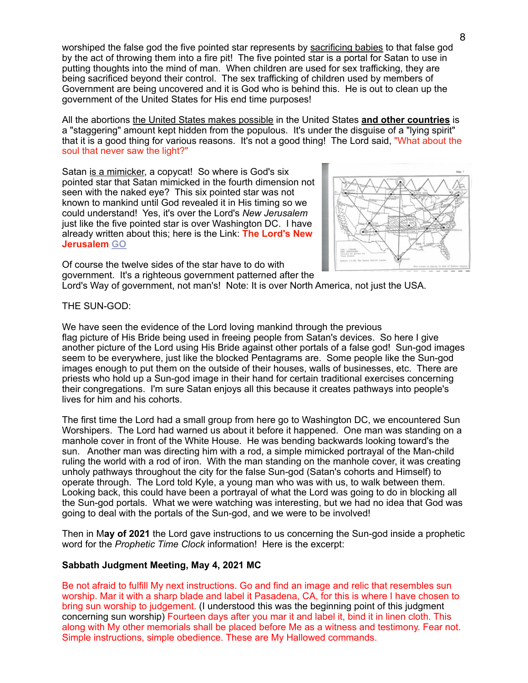worshiped the false god the five pointed star represents by sacrificing babies to that false god by the act of throwing them into a fire pit! The five pointed star is a portal for Satan to use in putting thoughts into the mind of man. When children are used for sex trafficking, they are being sacrificed beyond their control. The sex trafficking of children used by members of Government are being uncovered and it is God who is behind this. He is out to clean up the government of the United States for His end time purposes!

All the abortions the United States makes possible in the United States **and other countries** is a "staggering" amount kept hidden from the populous. It's under the disguise of a "lying spirit" that it is a good thing for various reasons. It's not a good thing! The Lord said, "What about the soul that never saw the light?"

Satan is a mimicker, a copycat! So where is God's six pointed star that Satan mimicked in the fourth dimension not seen with the naked eye? This six pointed star was not known to mankind until God revealed it in His timing so we could understand! Yes, it's over the Lord's *New Jerusalem* just like the five pointed star is over Washington DC. I have already written about this; here is the Link: **The Lord's New Jerusalem [GO](https://www.takehisheart.com/the_new_jerusalem.htm)**



Of course the twelve sides of the star have to do with government. It's a righteous government patterned after the Lord's Way of government, not man's! Note: It is over North America, not just the USA.

THE SUN-GOD:

We have seen the evidence of the Lord loving mankind through the previous flag picture of His Bride being used in freeing people from Satan's devices. So here I give another picture of the Lord using His Bride against other portals of a false god! Sun-god images seem to be everywhere, just like the blocked Pentagrams are. Some people like the Sun-god images enough to put them on the outside of their houses, walls of businesses, etc. There are priests who hold up a Sun-god image in their hand for certain traditional exercises concerning their congregations. I'm sure Satan enjoys all this because it creates pathways into people's lives for him and his cohorts.

The first time the Lord had a small group from here go to Washington DC, we encountered Sun Worshipers. The Lord had warned us about it before it happened. One man was standing on a manhole cover in front of the White House. He was bending backwards looking toward's the sun. Another man was directing him with a rod, a simple mimicked portrayal of the Man-child ruling the world with a rod of iron. With the man standing on the manhole cover, it was creating unholy pathways throughout the city for the false Sun-god (Satan's cohorts and Himself) to operate through. The Lord told Kyle, a young man who was with us, to walk between them. Looking back, this could have been a portrayal of what the Lord was going to do in blocking all the Sun-god portals. What we were watching was interesting, but we had no idea that God was going to deal with the portals of the Sun-god, and we were to be involved!

Then in M**ay of 2021** the Lord gave instructions to us concerning the Sun-god inside a prophetic word for the *Prophetic Time Clock* information! Here is the excerpt:

## **Sabbath Judgment Meeting, May 4, 2021 MC**

Be not afraid to fulfill My next instructions. Go and find an image and relic that resembles sun worship. Mar it with a sharp blade and label it Pasadena, CA, for this is where I have chosen to bring sun worship to judgement. (I understood this was the beginning point of this judgment concerning sun worship) Fourteen days after you mar it and label it, bind it in linen cloth. This along with My other memorials shall be placed before Me as a witness and testimony. Fear not. Simple instructions, simple obedience. These are My Hallowed commands.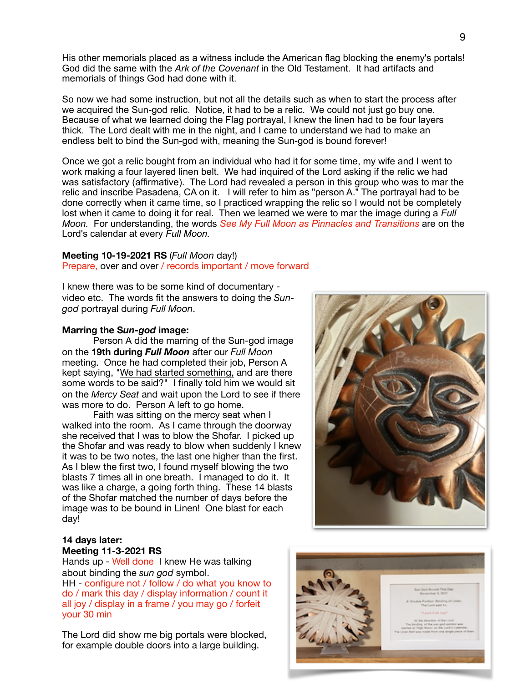His other memorials placed as a witness include the American flag blocking the enemy's portals! God did the same with the *Ark of the Covenant* in the Old Testament. It had artifacts and memorials of things God had done with it.

So now we had some instruction, but not all the details such as when to start the process after we acquired the Sun-god relic. Notice, it had to be a relic. We could not just go buy one. Because of what we learned doing the Flag portrayal, I knew the linen had to be four layers thick. The Lord dealt with me in the night, and I came to understand we had to make an endless belt to bind the Sun-god with, meaning the Sun-god is bound forever!

Once we got a relic bought from an individual who had it for some time, my wife and I went to work making a four layered linen belt. We had inquired of the Lord asking if the relic we had was satisfactory (affirmative). The Lord had revealed a person in this group who was to mar the relic and inscribe Pasadena, CA on it. I will refer to him as "person A." The portrayal had to be done correctly when it came time, so I practiced wrapping the relic so I would not be completely lost when it came to doing it for real. Then we learned we were to mar the image during a *Full Moon.* For understanding, the words *See My Full Moon as Pinnacles and Transitions* are on the Lord's calendar at every *Full Moon.*

## **Meeting 10-19-2021 RS** (*Full Moon* day!)

Prepare, over and over / records important / move forward

I knew there was to be some kind of documentary video etc. The words fit the answers to doing the *Sungod* portrayal during *Full Moon*.

## **Marring the S***un-god* **image:**

Person A did the marring of the Sun-god image on the **19th during** *Full Moon* after our *Full Moon* meeting. Once he had completed their job, Person A kept saying, "We had started something, and are there some words to be said?" I finally told him we would sit on the *Mercy Seat* and wait upon the Lord to see if there was more to do. Person A left to go home.

Faith was sitting on the mercy seat when I walked into the room. As I came through the doorway she received that I was to blow the Shofar. I picked up the Shofar and was ready to blow when suddenly I knew it was to be two notes, the last one higher than the first. As I blew the first two, I found myself blowing the two blasts 7 times all in one breath. I managed to do it. It was like a charge, a going forth thing. These 14 blasts of the Shofar matched the number of days before the image was to be bound in Linen! One blast for each day!



## **14 days later: Meeting 11-3-2021 RS**

Hands up - Well done I knew He was talking about binding the *sun god* symbol.

HH - configure not / follow / do what you know to do / mark this day / display information / count it all joy / display in a frame / you may go / forfeit your 30 min

The Lord did show me big portals were blocked, for example double doors into a large building.

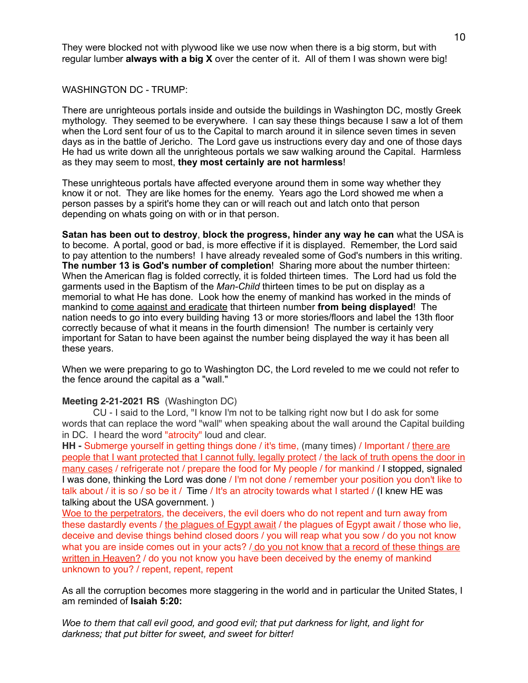They were blocked not with plywood like we use now when there is a big storm, but with regular lumber **always with a big X** over the center of it. All of them I was shown were big!

WASHINGTON DC - TRUMP:

There are unrighteous portals inside and outside the buildings in Washington DC, mostly Greek mythology. They seemed to be everywhere. I can say these things because I saw a lot of them when the Lord sent four of us to the Capital to march around it in silence seven times in seven days as in the battle of Jericho. The Lord gave us instructions every day and one of those days He had us write down all the unrighteous portals we saw walking around the Capital. Harmless as they may seem to most, **they most certainly are not harmless**!

These unrighteous portals have affected everyone around them in some way whether they know it or not. They are like homes for the enemy. Years ago the Lord showed me when a person passes by a spirit's home they can or will reach out and latch onto that person depending on whats going on with or in that person.

**Satan has been out to destroy**, **block the progress, hinder any way he can** what the USA is to become. A portal, good or bad, is more effective if it is displayed. Remember, the Lord said to pay attention to the numbers! I have already revealed some of God's numbers in this writing. **The number 13 is God's number of completion**! Sharing more about the number thirteen: When the American flag is folded correctly, it is folded thirteen times. The Lord had us fold the garments used in the Baptism of the *Man-Child* thirteen times to be put on display as a memorial to what He has done. Look how the enemy of mankind has worked in the minds of mankind to come against and eradicate that thirteen number **from being displayed**! The nation needs to go into every building having 13 or more stories/floors and label the 13th floor correctly because of what it means in the fourth dimension! The number is certainly very important for Satan to have been against the number being displayed the way it has been all these years.

When we were preparing to go to Washington DC, the Lord reveled to me we could not refer to the fence around the capital as a "wall."

## **Meeting 2-21-2021 RS** (Washington DC)

CU - I said to the Lord, "I know I'm not to be talking right now but I do ask for some words that can replace the word "wall" when speaking about the wall around the Capital building in DC. I heard the word "atrocity" loud and clear.

**HH -** Submerge yourself in getting things done / it's time, (many times) / Important / there are people that I want protected that I cannot fully, legally protect / the lack of truth opens the door in many cases / refrigerate not / prepare the food for My people / for mankind / I stopped, signaled I was done, thinking the Lord was done / I'm not done / remember your position you don't like to talk about / it is so / so be it / Time / It's an atrocity towards what I started / (I knew HE was talking about the USA government. )

Woe to the perpetrators, the deceivers, the evil doers who do not repent and turn away from these dastardly events / the plagues of Egypt await / the plagues of Egypt await / those who lie, deceive and devise things behind closed doors / you will reap what you sow / do you not know what you are inside comes out in your acts? / do you not know that a record of these things are written in Heaven? / do you not know you have been deceived by the enemy of mankind unknown to you? / repent, repent, repent

As all the corruption becomes more staggering in the world and in particular the United States, I am reminded of **Isaiah 5:20:** 

*Woe to them that call evil good, and good evil; that put darkness for light, and light for darkness; that put bitter for sweet, and sweet for bitter!*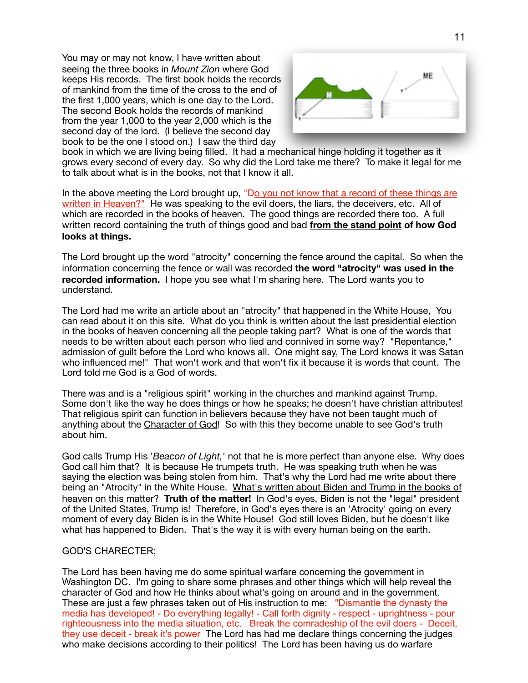You may or may not know, I have written about seeing the three books in *Mount Zion* where God keeps His records. The first book holds the records of mankind from the time of the cross to the end of the first 1,000 years, which is one day to the Lord. The second Book holds the records of mankind from the year 1,000 to the year 2,000 which is the second day of the lord. (I believe the second day book to be the one I stood on.) I saw the third day



book in which we are living being filled. It had a mechanical hinge holding it together as it grows every second of every day. So why did the Lord take me there? To make it legal for me to talk about what is in the books, not that I know it all.

In the above meeting the Lord brought up, "Do you not know that a record of these things are written in Heaven?" He was speaking to the evil doers, the liars, the deceivers, etc. All of which are recorded in the books of heaven. The good things are recorded there too. A full written record containing the truth of things good and bad **from the stand point of how God looks at things.** 

The Lord brought up the word "atrocity" concerning the fence around the capital. So when the information concerning the fence or wall was recorded **the word "atrocity" was used in the recorded information.** I hope you see what I'm sharing here. The Lord wants you to understand.

The Lord had me write an article about an "atrocity" that happened in the White House, You can read about it on this site. What do you think is written about the last presidential election in the books of heaven concerning all the people taking part? What is one of the words that needs to be written about each person who lied and connived in some way? "Repentance," admission of guilt before the Lord who knows all. One might say, The Lord knows it was Satan who influenced me!" That won't work and that won't fix it because it is words that count. The Lord told me God is a God of words.

There was and is a "religious spirit" working in the churches and mankind against Trump. Some don't like the way he does things or how he speaks; he doesn't have christian attributes! That religious spirit can function in believers because they have not been taught much of anything about the Character of God! So with this they become unable to see God's truth about him.

God calls Trump His '*Beacon of Light,*' not that he is more perfect than anyone else. Why does God call him that? It is because He trumpets truth. He was speaking truth when he was saying the election was being stolen from him. That's why the Lord had me write about there being an "Atrocity" in the White House. What's written about Biden and Trump in the books of heaven on this matter? **Truth of the matter!** In God's eyes, Biden is not the "legal" president of the United States, Trump is! Therefore, in God's eyes there is an 'Atrocity' going on every moment of every day Biden is in the White House! God still loves Biden, but he doesn't like what has happened to Biden. That's the way it is with every human being on the earth.

## GOD'S CHARECTER;

The Lord has been having me do some spiritual warfare concerning the government in Washington DC. I'm going to share some phrases and other things which will help reveal the character of God and how He thinks about what's going on around and in the government. These are just a few phrases taken out of His instruction to me: "Dismantle the dynasty the media has developed! - Do everything legally! - Call forth dignity - respect - uprightness - pour righteousness into the media situation, etc. Break the comradeship of the evil doers - Deceit, they use deceit - break it's power The Lord has had me declare things concerning the judges who make decisions according to their politics! The Lord has been having us do warfare